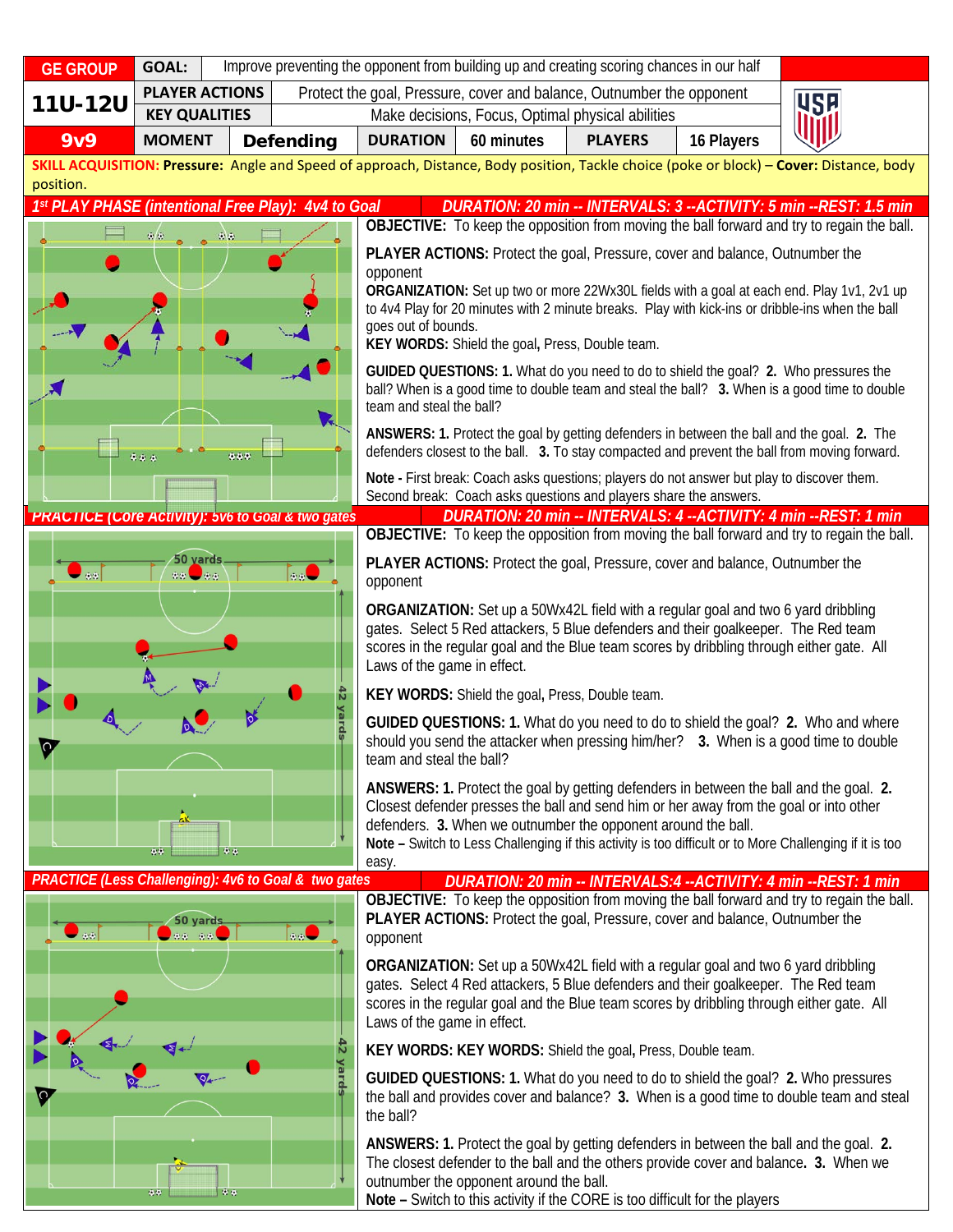| <b>GE GROUP</b>                                                                                                                                                                                                                  | <b>GOAL:</b>                            | Improve preventing the opponent from building up and creating scoring chances in our half |                                                                                                                                                                                                                                                                                                                 |                                                                                                                                                                                                                                                                                                                                                                                                                                                                   |                                                   |                                                                                                                                                                         |            |                                                                                                                                                                                 |  |
|----------------------------------------------------------------------------------------------------------------------------------------------------------------------------------------------------------------------------------|-----------------------------------------|-------------------------------------------------------------------------------------------|-----------------------------------------------------------------------------------------------------------------------------------------------------------------------------------------------------------------------------------------------------------------------------------------------------------------|-------------------------------------------------------------------------------------------------------------------------------------------------------------------------------------------------------------------------------------------------------------------------------------------------------------------------------------------------------------------------------------------------------------------------------------------------------------------|---------------------------------------------------|-------------------------------------------------------------------------------------------------------------------------------------------------------------------------|------------|---------------------------------------------------------------------------------------------------------------------------------------------------------------------------------|--|
| <b>11U-12U</b>                                                                                                                                                                                                                   | <b>PLAYER ACTIONS</b>                   |                                                                                           | Protect the goal, Pressure, cover and balance, Outnumber the opponent<br><b>USE</b>                                                                                                                                                                                                                             |                                                                                                                                                                                                                                                                                                                                                                                                                                                                   |                                                   |                                                                                                                                                                         |            |                                                                                                                                                                                 |  |
|                                                                                                                                                                                                                                  | <b>KEY QUALITIES</b>                    |                                                                                           |                                                                                                                                                                                                                                                                                                                 |                                                                                                                                                                                                                                                                                                                                                                                                                                                                   | Make decisions, Focus, Optimal physical abilities |                                                                                                                                                                         |            |                                                                                                                                                                                 |  |
| <b>9v9</b>                                                                                                                                                                                                                       | <b>MOMENT</b>                           |                                                                                           | <b>Defending</b>                                                                                                                                                                                                                                                                                                | <b>DURATION</b>                                                                                                                                                                                                                                                                                                                                                                                                                                                   | 60 minutes                                        | <b>PLAYERS</b>                                                                                                                                                          | 16 Players |                                                                                                                                                                                 |  |
| SKILL ACQUISITION: Pressure: Angle and Speed of approach, Distance, Body position, Tackle choice (poke or block) - Cover: Distance, body<br>position.                                                                            |                                         |                                                                                           |                                                                                                                                                                                                                                                                                                                 |                                                                                                                                                                                                                                                                                                                                                                                                                                                                   |                                                   |                                                                                                                                                                         |            |                                                                                                                                                                                 |  |
| 1st PLAY PHASE (intentional Free Play): 4v4 to Goal<br>DURATION: 20 min -- INTERVALS: 3 -- ACTIVITY: 5 min -- REST: 1.5 min                                                                                                      |                                         |                                                                                           |                                                                                                                                                                                                                                                                                                                 |                                                                                                                                                                                                                                                                                                                                                                                                                                                                   |                                                   |                                                                                                                                                                         |            |                                                                                                                                                                                 |  |
|                                                                                                                                                                                                                                  | $\Phi/\Phi$                             | $\mathcal{L}(\mathfrak{a})$                                                               |                                                                                                                                                                                                                                                                                                                 | OBJECTIVE: To keep the opposition from moving the ball forward and try to regain the ball.<br>PLAYER ACTIONS: Protect the goal, Pressure, cover and balance, Outnumber the<br>opponent<br>ORGANIZATION: Set up two or more 22Wx30L fields with a goal at each end. Play 1v1, 2v1 up<br>to 4v4 Play for 20 minutes with 2 minute breaks. Play with kick-ins or dribble-ins when the ball<br>goes out of bounds.<br>KEY WORDS: Shield the goal, Press, Double team. |                                                   |                                                                                                                                                                         |            |                                                                                                                                                                                 |  |
|                                                                                                                                                                                                                                  |                                         |                                                                                           | GUIDED QUESTIONS: 1. What do you need to do to shield the goal? 2. Who pressures the<br>ball? When is a good time to double team and steal the ball? 3. When is a good time to double<br>team and steal the ball?<br>ANSWERS: 1. Protect the goal by getting defenders in between the ball and the goal. 2. The |                                                                                                                                                                                                                                                                                                                                                                                                                                                                   |                                                   |                                                                                                                                                                         |            |                                                                                                                                                                                 |  |
| 0.0.5<br>0.0.0                                                                                                                                                                                                                   |                                         |                                                                                           | defenders closest to the ball. 3. To stay compacted and prevent the ball from moving forward.<br>Note - First break: Coach asks questions; players do not answer but play to discover them.                                                                                                                     |                                                                                                                                                                                                                                                                                                                                                                                                                                                                   |                                                   |                                                                                                                                                                         |            |                                                                                                                                                                                 |  |
|                                                                                                                                                                                                                                  |                                         |                                                                                           |                                                                                                                                                                                                                                                                                                                 | Second break: Coach asks questions and players share the answers.                                                                                                                                                                                                                                                                                                                                                                                                 |                                                   |                                                                                                                                                                         |            |                                                                                                                                                                                 |  |
| DURATION: 20 min -- INTERVALS: 4 -- ACTIVITY: 4 min -- REST: 1 min<br><b>PRACTICE (COre ACtivity): 5v6 to Goal &amp; two gates</b><br>OBJECTIVE: To keep the opposition from moving the ball forward and try to regain the ball. |                                         |                                                                                           |                                                                                                                                                                                                                                                                                                                 |                                                                                                                                                                                                                                                                                                                                                                                                                                                                   |                                                   |                                                                                                                                                                         |            |                                                                                                                                                                                 |  |
|                                                                                                                                                                                                                                  | 50 yards<br>$\mathcal{L}(\mathfrak{g})$ |                                                                                           | 9.6                                                                                                                                                                                                                                                                                                             | opponent                                                                                                                                                                                                                                                                                                                                                                                                                                                          |                                                   | <b>PLAYER ACTIONS:</b> Protect the goal, Pressure, cover and balance, Outnumber the                                                                                     |            |                                                                                                                                                                                 |  |
|                                                                                                                                                                                                                                  |                                         |                                                                                           |                                                                                                                                                                                                                                                                                                                 | Laws of the game in effect.                                                                                                                                                                                                                                                                                                                                                                                                                                       |                                                   | ORGANIZATION: Set up a 50Wx42L field with a regular goal and two 6 yard dribbling<br>gates. Select 5 Red attackers, 5 Blue defenders and their goalkeeper. The Red team |            | scores in the regular goal and the Blue team scores by dribbling through either gate. All                                                                                       |  |
| $\bullet$<br>99                                                                                                                                                                                                                  |                                         |                                                                                           | KEY WORDS: Shield the goal, Press, Double team.                                                                                                                                                                                                                                                                 |                                                                                                                                                                                                                                                                                                                                                                                                                                                                   |                                                   |                                                                                                                                                                         |            |                                                                                                                                                                                 |  |
|                                                                                                                                                                                                                                  |                                         |                                                                                           | GUIDED QUESTIONS: 1. What do you need to do to shield the goal? 2. Who and where<br>should you send the attacker when pressing him/her? 3. When is a good time to double<br>team and steal the ball?                                                                                                            |                                                                                                                                                                                                                                                                                                                                                                                                                                                                   |                                                   |                                                                                                                                                                         |            |                                                                                                                                                                                 |  |
|                                                                                                                                                                                                                                  |                                         |                                                                                           |                                                                                                                                                                                                                                                                                                                 | ANSWERS: 1. Protect the goal by getting defenders in between the ball and the goal. 2.<br>Closest defender presses the ball and send him or her away from the goal or into other<br>defenders. 3. When we outnumber the opponent around the ball.<br>Note - Switch to Less Challenging if this activity is too difficult or to More Challenging if it is too<br>easy.                                                                                             |                                                   |                                                                                                                                                                         |            |                                                                                                                                                                                 |  |
| PRACTICE (Less Challenging): 4v6 to Goal & two gates<br>DURATION: 20 min -- INTERVALS:4 -- ACTIVITY: 4 min -- REST: 1 min                                                                                                        |                                         |                                                                                           |                                                                                                                                                                                                                                                                                                                 |                                                                                                                                                                                                                                                                                                                                                                                                                                                                   |                                                   |                                                                                                                                                                         |            |                                                                                                                                                                                 |  |
|                                                                                                                                                                                                                                  | 50 yards                                |                                                                                           |                                                                                                                                                                                                                                                                                                                 | OBJECTIVE: To keep the opposition from moving the ball forward and try to regain the ball.<br>PLAYER ACTIONS: Protect the goal, Pressure, cover and balance, Outnumber the<br>opponent                                                                                                                                                                                                                                                                            |                                                   |                                                                                                                                                                         |            |                                                                                                                                                                                 |  |
|                                                                                                                                                                                                                                  |                                         |                                                                                           |                                                                                                                                                                                                                                                                                                                 | ORGANIZATION: Set up a 50Wx42L field with a regular goal and two 6 yard dribbling<br>gates. Select 4 Red attackers, 5 Blue defenders and their goalkeeper. The Red team<br>scores in the regular goal and the Blue team scores by dribbling through either gate. All<br>Laws of the game in effect.                                                                                                                                                               |                                                   |                                                                                                                                                                         |            |                                                                                                                                                                                 |  |
|                                                                                                                                                                                                                                  |                                         |                                                                                           | Ñ                                                                                                                                                                                                                                                                                                               |                                                                                                                                                                                                                                                                                                                                                                                                                                                                   |                                                   | KEY WORDS: KEY WORDS: Shield the goal, Press, Double team.                                                                                                              |            |                                                                                                                                                                                 |  |
|                                                                                                                                                                                                                                  | Vard                                    |                                                                                           |                                                                                                                                                                                                                                                                                                                 | GUIDED QUESTIONS: 1. What do you need to do to shield the goal? 2. Who pressures<br>the ball and provides cover and balance? 3. When is a good time to double team and steal<br>the ball?                                                                                                                                                                                                                                                                         |                                                   |                                                                                                                                                                         |            |                                                                                                                                                                                 |  |
|                                                                                                                                                                                                                                  | 0.0                                     | 安全                                                                                        |                                                                                                                                                                                                                                                                                                                 |                                                                                                                                                                                                                                                                                                                                                                                                                                                                   | outnumber the opponent around the ball.           | Note - Switch to this activity if the CORE is too difficult for the players                                                                                             |            | ANSWERS: 1. Protect the goal by getting defenders in between the ball and the goal. 2.<br>The closest defender to the ball and the others provide cover and balance. 3. When we |  |